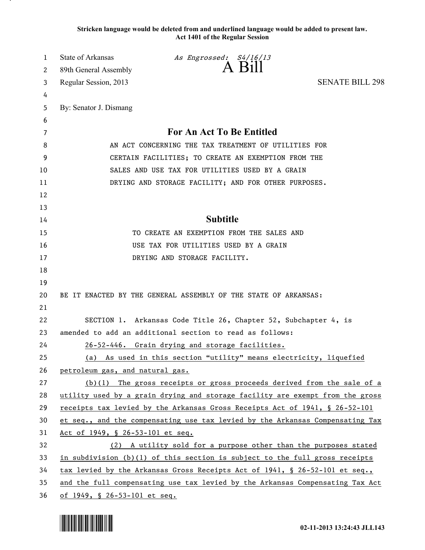**Stricken language would be deleted from and underlined language would be added to present law. Act 1401 of the Regular Session**

| 1  | <b>State of Arkansas</b>                                                      | As Engrossed: S4/16/13                                                        |                        |
|----|-------------------------------------------------------------------------------|-------------------------------------------------------------------------------|------------------------|
| 2  | 89th General Assembly                                                         | A Bill                                                                        |                        |
| 3  | Regular Session, 2013                                                         |                                                                               | <b>SENATE BILL 298</b> |
| 4  |                                                                               |                                                                               |                        |
| 5  | By: Senator J. Dismang                                                        |                                                                               |                        |
| 6  |                                                                               |                                                                               |                        |
| 7  | For An Act To Be Entitled                                                     |                                                                               |                        |
| 8  | AN ACT CONCERNING THE TAX TREATMENT OF UTILITIES FOR                          |                                                                               |                        |
| 9  | CERTAIN FACILITIES; TO CREATE AN EXEMPTION FROM THE                           |                                                                               |                        |
| 10 | SALES AND USE TAX FOR UTILITIES USED BY A GRAIN                               |                                                                               |                        |
| 11 | DRYING AND STORAGE FACILITY; AND FOR OTHER PURPOSES.                          |                                                                               |                        |
| 12 |                                                                               |                                                                               |                        |
| 13 |                                                                               |                                                                               |                        |
| 14 | <b>Subtitle</b>                                                               |                                                                               |                        |
| 15 | TO CREATE AN EXEMPTION FROM THE SALES AND                                     |                                                                               |                        |
| 16 | USE TAX FOR UTILITIES USED BY A GRAIN                                         |                                                                               |                        |
| 17 |                                                                               | DRYING AND STORAGE FACILITY.                                                  |                        |
| 18 |                                                                               |                                                                               |                        |
| 19 |                                                                               |                                                                               |                        |
| 20 |                                                                               | BE IT ENACTED BY THE GENERAL ASSEMBLY OF THE STATE OF ARKANSAS:               |                        |
| 21 |                                                                               |                                                                               |                        |
| 22 |                                                                               | SECTION 1. Arkansas Code Title 26, Chapter 52, Subchapter 4, is               |                        |
| 23 | amended to add an additional section to read as follows:                      |                                                                               |                        |
| 24 |                                                                               | 26-52-446. Grain drying and storage facilities.                               |                        |
| 25 |                                                                               | (a) As used in this section "utility" means electricity, liquefied            |                        |
| 26 | petroleum gas, and natural gas.                                               |                                                                               |                        |
| 27 |                                                                               | $(b)(1)$ The gross receipts or gross proceeds derived from the sale of a      |                        |
| 28 |                                                                               | utility used by a grain drying and storage facility are exempt from the gross |                        |
| 29 | receipts tax levied by the Arkansas Gross Receipts Act of 1941, § 26-52-101   |                                                                               |                        |
| 30 | et seq., and the compensating use tax levied by the Arkansas Compensating Tax |                                                                               |                        |
| 31 | Act of 1949, § 26-53-101 et seq.                                              |                                                                               |                        |
| 32 |                                                                               | (2) A utility sold for a purpose other than the purposes stated               |                        |
| 33 | in subdivision $(b)(1)$ of this section is subject to the full gross receipts |                                                                               |                        |
| 34 | tax levied by the Arkansas Gross Receipts Act of 1941, § 26-52-101 et seq.,   |                                                                               |                        |
| 35 | and the full compensating use tax levied by the Arkansas Compensating Tax Act |                                                                               |                        |
| 36 | of $1949$ , $\frac{26-53-101}{20}$ et seq.                                    |                                                                               |                        |